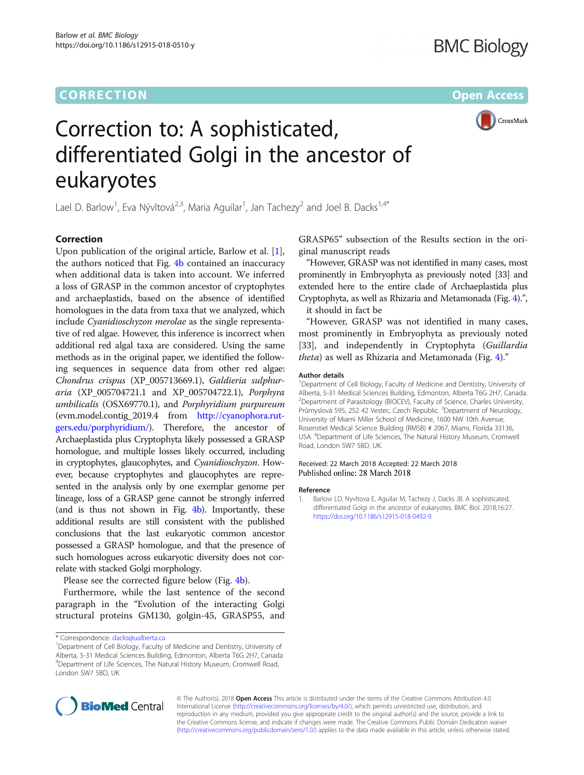

# Correction to: A sophisticated, differentiated Golgi in the ancestor of eukaryotes

Lael D. Barlow<sup>1</sup>, Eva Nývltová<sup>2,3</sup>, Maria Aguilar<sup>1</sup>, Jan Tachezy<sup>2</sup> and Joel B. Dacks<sup>1,4\*</sup>

# **Correction**

Upon publication of the original article, Barlow et al. [1], the authors noticed that Fig. [4b](#page-1-0) contained an inaccuracy when additional data is taken into account. We inferred a loss of GRASP in the common ancestor of cryptophytes and archaeplastids, based on the absence of identified homologues in the data from taxa that we analyzed, which include Cyanidioschyzon merolae as the single representative of red algae. However, this inference is incorrect when additional red algal taxa are considered. Using the same methods as in the original paper, we identified the following sequences in sequence data from other red algae: Chondrus crispus (XP\_005713669.1), Galdieria sulphuraria (XP\_005704721.1 and XP\_005704722.1), Porphyra umbilicalis (OSX69770.1), and Porphyridium purpureum (evm.model.contig\_2019.4 from [http://cyanophora.rut](http://cyanophora.rutgers.edu/porphyridium)[gers.edu/porphyridium/\)](http://cyanophora.rutgers.edu/porphyridium). Therefore, the ancestor of Archaeplastida plus Cryptophyta likely possessed a GRASP homologue, and multiple losses likely occurred, including in cryptophytes, glaucophytes, and Cyanidioschyzon. However, because cryptophytes and glaucophytes are represented in the analysis only by one exemplar genome per lineage, loss of a GRASP gene cannot be strongly inferred (and is thus not shown in Fig. [4b\)](#page-1-0). Importantly, these additional results are still consistent with the published conclusions that the last eukaryotic common ancestor possessed a GRASP homologue, and that the presence of such homologues across eukaryotic diversity does not correlate with stacked Golgi morphology.

Please see the corrected figure below (Fig. [4b\)](#page-1-0).

Furthermore, while the last sentence of the second paragraph in the "Evolution of the interacting Golgi structural proteins GM130, golgin-45, GRASP55, and GRASP65" subsection of the Results section in the original manuscript reads

"However, GRASP was not identified in many cases, most prominently in Embryophyta as previously noted [33] and extended here to the entire clade of Archaeplastida plus Cryptophyta, as well as Rhizaria and Metamonada (Fig. [4\)](#page-1-0).",

it should in fact be

"However, GRASP was not identified in many cases, most prominently in Embryophyta as previously noted [33], and independently in Cryptophyta (Guillardia theta) as well as Rhizaria and Metamonada (Fig. [4](#page-1-0))."

## Author details

<sup>1</sup>Department of Cell Biology, Faculty of Medicine and Dentistry, University of Alberta, 5-31 Medical Sciences Building, Edmonton, Alberta T6G 2H7, Canada. <sup>2</sup> Department of Parasitology (BIOCEV), Faculty of Science, Charles University, Průmyslová 595, 252 42 Vestec, Czech Republic. <sup>3</sup>Department of Neurology University of Miami Miller School of Medicine, 1600 NW 10th Avenue, Rosenstiel Medical Science Building (RMSB) # 2067, Miami, Florida 33136, USA. <sup>4</sup>Department of Life Sciences, The Natural History Museum, Cromwell Road, London SW7 5BD, UK.

# Received: 22 March 2018 Accepted: 22 March 2018 Published online: 28 March 2018

## Reference

1. Barlow LD, Nyvltova E, Aguilar M, Tachezy J, Dacks JB. A sophisticated, differentiated Golgi in the ancestor of eukaryotes. BMC Biol. 2018;16:27. <https://doi.org/10.1186/s12915-018-0492-9>.



© The Author(s). 2018 **Open Access** This article is distributed under the terms of the Creative Commons Attribution 4.0 International License [\(http://creativecommons.org/licenses/by/4.0/](http://creativecommons.org/licenses/by/4.0/)), which permits unrestricted use, distribution, and reproduction in any medium, provided you give appropriate credit to the original author(s) and the source, provide a link to the Creative Commons license, and indicate if changes were made. The Creative Commons Public Domain Dedication waiver [\(http://creativecommons.org/publicdomain/zero/1.0/](http://creativecommons.org/publicdomain/zero/1.0/)) applies to the data made available in this article, unless otherwise stated.

<sup>\*</sup> Correspondence: [dacks@ualberta.ca](mailto:dacks@ualberta.ca) <sup>1</sup>

<sup>&</sup>lt;sup>1</sup>Department of Cell Biology, Faculty of Medicine and Dentistry, University of Alberta, 5-31 Medical Sciences Building, Edmonton, Alberta T6G 2H7, Canada 4 Department of Life Sciences, The Natural History Museum, Cromwell Road, London SW7 5BD, UK